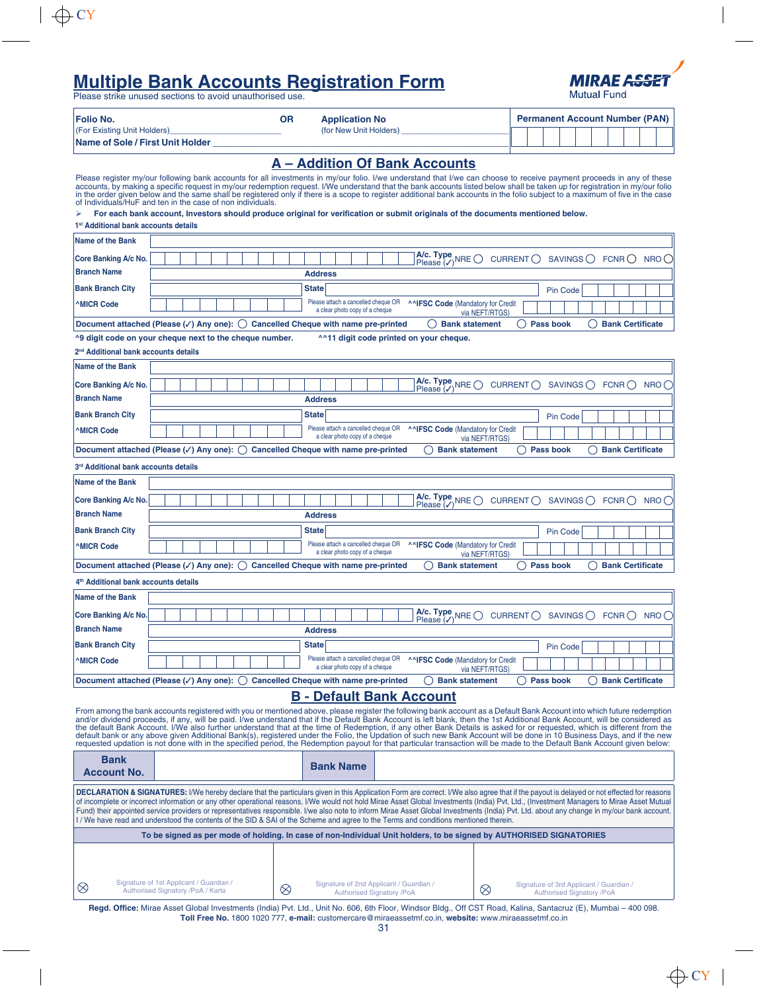# **Multiple Bank Accounts Registration Form**

Please strike unused sections to avoid unauthorised use.



| <b>Folio No.</b>                 | ΟR | <b>Application No</b>  |  | <b>Permanent Account Number (PAN)</b> |  |  |  |  |  |  |  |  |
|----------------------------------|----|------------------------|--|---------------------------------------|--|--|--|--|--|--|--|--|
| (For Existing Unit Holders)      |    | (for New Unit Holders) |  |                                       |  |  |  |  |  |  |  |  |
| Name of Sole / First Unit Holder |    |                        |  |                                       |  |  |  |  |  |  |  |  |

| <b>A</b> – Addition Of Bank Accounts                                                                                                                                                                                                                                                                                                                                                                                                                                                                                                                                                                                                                                                                                                                                                                                                                                                   |                                                                                                                                                                      |  |  |  |  |  |  |  |  |
|----------------------------------------------------------------------------------------------------------------------------------------------------------------------------------------------------------------------------------------------------------------------------------------------------------------------------------------------------------------------------------------------------------------------------------------------------------------------------------------------------------------------------------------------------------------------------------------------------------------------------------------------------------------------------------------------------------------------------------------------------------------------------------------------------------------------------------------------------------------------------------------|----------------------------------------------------------------------------------------------------------------------------------------------------------------------|--|--|--|--|--|--|--|--|
| Please register my/our following bank accounts for all investments in my/our folio. I/we understand that I/we can choose to receive payment proceeds in any of these<br>accounts, by making a specific request in my/our redemption request. I/We understand that the bank accounts listed below shall be taken up for registration in my/our folio<br>in the order given below and the same shall be registered only if there is a scope to register additional bank accounts in the folio subject to a maximum of five in the case<br>of Individuals/HuF and ten in the case of non individuals.                                                                                                                                                                                                                                                                                     |                                                                                                                                                                      |  |  |  |  |  |  |  |  |
|                                                                                                                                                                                                                                                                                                                                                                                                                                                                                                                                                                                                                                                                                                                                                                                                                                                                                        | For each bank account, Investors should produce original for verification or submit originals of the documents mentioned below.                                      |  |  |  |  |  |  |  |  |
|                                                                                                                                                                                                                                                                                                                                                                                                                                                                                                                                                                                                                                                                                                                                                                                                                                                                                        | 1 <sup>st</sup> Additional bank accounts details                                                                                                                     |  |  |  |  |  |  |  |  |
| <b>Name of the Bank</b>                                                                                                                                                                                                                                                                                                                                                                                                                                                                                                                                                                                                                                                                                                                                                                                                                                                                |                                                                                                                                                                      |  |  |  |  |  |  |  |  |
| Core Banking A/c No.                                                                                                                                                                                                                                                                                                                                                                                                                                                                                                                                                                                                                                                                                                                                                                                                                                                                   | A/c. Type NRE $\bigcirc$ Please $(\checkmark)$<br>CURRENT $\bigcap$<br>SAVINGS ()<br>FCNR()<br>NRO()                                                                 |  |  |  |  |  |  |  |  |
| <b>Branch Name</b>                                                                                                                                                                                                                                                                                                                                                                                                                                                                                                                                                                                                                                                                                                                                                                                                                                                                     | <b>Address</b>                                                                                                                                                       |  |  |  |  |  |  |  |  |
| <b>Bank Branch City</b>                                                                                                                                                                                                                                                                                                                                                                                                                                                                                                                                                                                                                                                                                                                                                                                                                                                                | <b>State</b><br>Pin Code                                                                                                                                             |  |  |  |  |  |  |  |  |
| <b>MICR Code</b>                                                                                                                                                                                                                                                                                                                                                                                                                                                                                                                                                                                                                                                                                                                                                                                                                                                                       | Please attach a cancelled cheque OR<br>^^IFSC Code (Mandatory for Credit<br>a clear photo copy of a cheque<br>via NEFT/RTGS)                                         |  |  |  |  |  |  |  |  |
| Document attached (Please $(\checkmark)$ Any one): (c) Cancelled Cheque with name pre-printed<br><b>Bank statement</b><br><b>Pass book</b><br><b>Bank Certificate</b>                                                                                                                                                                                                                                                                                                                                                                                                                                                                                                                                                                                                                                                                                                                  |                                                                                                                                                                      |  |  |  |  |  |  |  |  |
|                                                                                                                                                                                                                                                                                                                                                                                                                                                                                                                                                                                                                                                                                                                                                                                                                                                                                        | ^9 digit code on your cheque next to the cheque number.<br>^^11 digit code printed on your cheque.                                                                   |  |  |  |  |  |  |  |  |
| 2 <sup>nd</sup> Additional bank accounts details                                                                                                                                                                                                                                                                                                                                                                                                                                                                                                                                                                                                                                                                                                                                                                                                                                       |                                                                                                                                                                      |  |  |  |  |  |  |  |  |
| <b>Name of the Bank</b>                                                                                                                                                                                                                                                                                                                                                                                                                                                                                                                                                                                                                                                                                                                                                                                                                                                                |                                                                                                                                                                      |  |  |  |  |  |  |  |  |
| Core Banking A/c No.                                                                                                                                                                                                                                                                                                                                                                                                                                                                                                                                                                                                                                                                                                                                                                                                                                                                   | A/c. Type NRE $\bigcirc$ Please $(\checkmark)$<br>CURRENT $\bigcap$ SAVINGS $\bigcap$<br>FCNR<br>NRO()                                                               |  |  |  |  |  |  |  |  |
| <b>Branch Name</b>                                                                                                                                                                                                                                                                                                                                                                                                                                                                                                                                                                                                                                                                                                                                                                                                                                                                     | <b>Address</b>                                                                                                                                                       |  |  |  |  |  |  |  |  |
| <b>Bank Branch City</b>                                                                                                                                                                                                                                                                                                                                                                                                                                                                                                                                                                                                                                                                                                                                                                                                                                                                | <b>State</b><br>Pin Code                                                                                                                                             |  |  |  |  |  |  |  |  |
| <b>MICR Code</b>                                                                                                                                                                                                                                                                                                                                                                                                                                                                                                                                                                                                                                                                                                                                                                                                                                                                       | Please attach a cancelled cheque OR ANIFSC Code (Mandatory for Credit                                                                                                |  |  |  |  |  |  |  |  |
|                                                                                                                                                                                                                                                                                                                                                                                                                                                                                                                                                                                                                                                                                                                                                                                                                                                                                        | a clear photo copy of a cheque<br>via NEFT/RTGS)<br><b>Bank Certificate</b>                                                                                          |  |  |  |  |  |  |  |  |
|                                                                                                                                                                                                                                                                                                                                                                                                                                                                                                                                                                                                                                                                                                                                                                                                                                                                                        | Document attached (Please ( $\checkmark$ ) Any one): $\bigcirc$ Cancelled Cheque with name pre-printed<br>◯ Pass book<br><b>Bank statement</b><br>( )                |  |  |  |  |  |  |  |  |
| 3rd Additional bank accounts details                                                                                                                                                                                                                                                                                                                                                                                                                                                                                                                                                                                                                                                                                                                                                                                                                                                   |                                                                                                                                                                      |  |  |  |  |  |  |  |  |
| <b>Name of the Bank</b>                                                                                                                                                                                                                                                                                                                                                                                                                                                                                                                                                                                                                                                                                                                                                                                                                                                                |                                                                                                                                                                      |  |  |  |  |  |  |  |  |
| Core Banking A/c No.                                                                                                                                                                                                                                                                                                                                                                                                                                                                                                                                                                                                                                                                                                                                                                                                                                                                   | A/c. Type NRE $\bigcirc$ Please $(V)$<br>CURRENT $\bigcap$<br>SAVINGS ()<br>FCNR()<br>NRO(                                                                           |  |  |  |  |  |  |  |  |
| <b>Branch Name</b>                                                                                                                                                                                                                                                                                                                                                                                                                                                                                                                                                                                                                                                                                                                                                                                                                                                                     | <b>Address</b>                                                                                                                                                       |  |  |  |  |  |  |  |  |
| <b>Bank Branch City</b>                                                                                                                                                                                                                                                                                                                                                                                                                                                                                                                                                                                                                                                                                                                                                                                                                                                                | <b>State</b><br>Pin Code                                                                                                                                             |  |  |  |  |  |  |  |  |
| <b>MICR Code</b>                                                                                                                                                                                                                                                                                                                                                                                                                                                                                                                                                                                                                                                                                                                                                                                                                                                                       | Please attach a cancelled cheque OR<br>^^IFSC Code (Mandatory for Credit<br>a clear photo copy of a cheque<br>via NEFT/RTGS)                                         |  |  |  |  |  |  |  |  |
|                                                                                                                                                                                                                                                                                                                                                                                                                                                                                                                                                                                                                                                                                                                                                                                                                                                                                        | Document attached (Please $(\checkmark)$ Any one): () Cancelled Cheque with name pre-printed<br><b>Bank Certificate</b><br><b>Bank statement</b><br><b>Pass book</b> |  |  |  |  |  |  |  |  |
| 4 <sup>th</sup> Additional bank accounts details                                                                                                                                                                                                                                                                                                                                                                                                                                                                                                                                                                                                                                                                                                                                                                                                                                       |                                                                                                                                                                      |  |  |  |  |  |  |  |  |
| <b>Name of the Bank</b>                                                                                                                                                                                                                                                                                                                                                                                                                                                                                                                                                                                                                                                                                                                                                                                                                                                                |                                                                                                                                                                      |  |  |  |  |  |  |  |  |
| Core Banking A/c No.                                                                                                                                                                                                                                                                                                                                                                                                                                                                                                                                                                                                                                                                                                                                                                                                                                                                   | <b>A/c. Type</b> NRE $\bigcirc$ CURRENT $\bigcirc$ SAVINGS $\bigcirc$ Please ( <b>/</b> )<br>FCNR()<br>NRO()                                                         |  |  |  |  |  |  |  |  |
| <b>Branch Name</b>                                                                                                                                                                                                                                                                                                                                                                                                                                                                                                                                                                                                                                                                                                                                                                                                                                                                     | <b>Address</b>                                                                                                                                                       |  |  |  |  |  |  |  |  |
| <b>Bank Branch City</b>                                                                                                                                                                                                                                                                                                                                                                                                                                                                                                                                                                                                                                                                                                                                                                                                                                                                | <b>State</b><br>Pin Code                                                                                                                                             |  |  |  |  |  |  |  |  |
| <b>MICR Code</b>                                                                                                                                                                                                                                                                                                                                                                                                                                                                                                                                                                                                                                                                                                                                                                                                                                                                       | Please attach a cancelled cheque OR<br>^^IFSC Code (Mandatory for Credit<br>a clear photo copy of a cheque<br>via NEFT/RTGS)                                         |  |  |  |  |  |  |  |  |
|                                                                                                                                                                                                                                                                                                                                                                                                                                                                                                                                                                                                                                                                                                                                                                                                                                                                                        | Document attached (Please (v) Any one): $\bigcirc$ Cancelled Cheque with name pre-printed<br>() Bank statement<br><b>Pass book</b><br>() Bank Certificate            |  |  |  |  |  |  |  |  |
|                                                                                                                                                                                                                                                                                                                                                                                                                                                                                                                                                                                                                                                                                                                                                                                                                                                                                        | <b>B - Default Bank Account</b>                                                                                                                                      |  |  |  |  |  |  |  |  |
| From among the bank accounts registered with you or mentioned above, please register the following bank account as a Default Bank Account into which future redemption<br>and/or dividend proceeds, if any, will be paid. I/we understand that if the Default Bank Account is left blank, then the 1st Additional Bank Account, will be considered as<br>the default Bank Account. I/We also further understand that at the time of Redemption, if any other Bank Details is asked for or requested, which is different from the<br>default bank or any above given Additional Bank(s), registered under the Folio, the Updation of such new Bank Account will be done in 10 Business Days, and if the new<br>requested updation is not done with in the specified period, the Redemption payout for that particular transaction will be made to the Default Bank Account given below: |                                                                                                                                                                      |  |  |  |  |  |  |  |  |
| <b>Bank</b><br><b>Account No.</b>                                                                                                                                                                                                                                                                                                                                                                                                                                                                                                                                                                                                                                                                                                                                                                                                                                                      | <b>Bank Name</b>                                                                                                                                                     |  |  |  |  |  |  |  |  |
| DECLARATION & SIGNATURES: I/We hereby declare that the particulars given in this Application Form are correct. I/We also agree that if the payout is delayed or not effected for reasons<br>of incomplete or incorrect information or any other operational reasons, I/We would not hold Mirae Asset Global Investments (India) Pvt. Ltd., (Investment Managers to Mirae Asset Mutual<br>Fund) their appointed service providers or representatives responsible. I/we also note to inform Mirae Asset Global Investments (India) Pvt. Ltd. about any change in my/our bank account.<br>I/We have read and understood the contents of the SID & SAI of the Scheme and agree to the Terms and conditions mentioned therein.                                                                                                                                                              |                                                                                                                                                                      |  |  |  |  |  |  |  |  |
|                                                                                                                                                                                                                                                                                                                                                                                                                                                                                                                                                                                                                                                                                                                                                                                                                                                                                        | To be signed as per mode of holding. In case of non-Individual Unit holders, to be signed by AUTHORISED SIGNATORIES                                                  |  |  |  |  |  |  |  |  |
|                                                                                                                                                                                                                                                                                                                                                                                                                                                                                                                                                                                                                                                                                                                                                                                                                                                                                        |                                                                                                                                                                      |  |  |  |  |  |  |  |  |

Signature of 1st Applicant / Guardian /<br>Authorised Signatory / PoA / Karta  $\otimes$ gnature of 1st Applicant / Guardian / Signature of 2nd Applicant / Guardian /<br>Authorised Signatory /PoA / Karta Signatory /PoA Signature of 3rd Applicant / Guardian / Authorised Signatory /PoA  $\otimes$ **Regd. Office:** Mirae Asset Global Investments (India) Pvt. Ltd., Unit No. 606, 6th Floor, Windsor Bldg., Off CST Road, Kalina, Santacruz (E), Mumbai – 400 098. **Toll Free No.** 1800 1020 777, **e-mail:** customercare@miraeassetmf.co.in, **website:** www.miraeassetmf.co.in